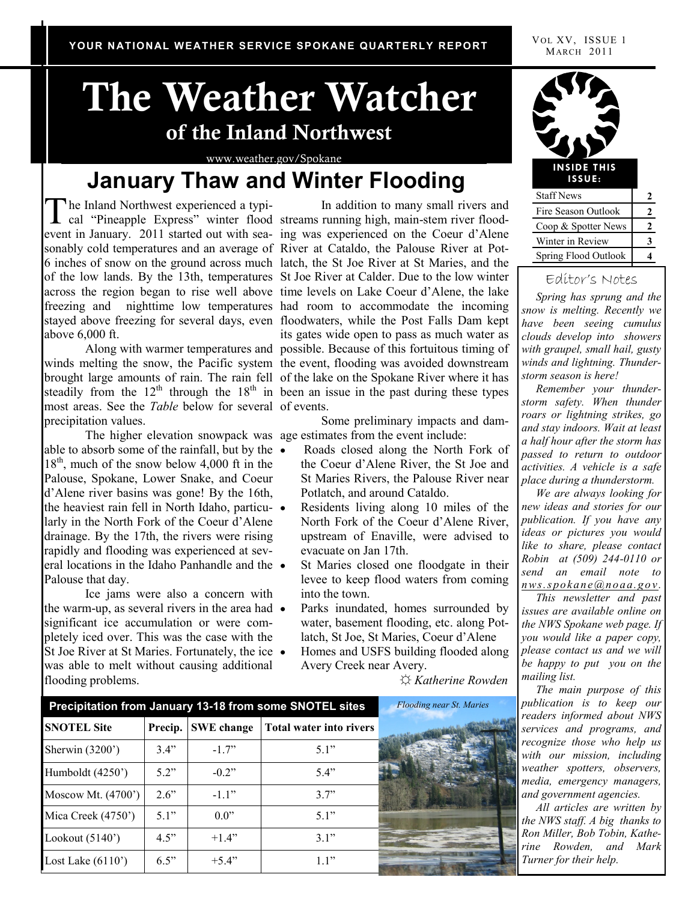# **The Weather Watcher of the Inland Northwest**

www.weather.gov/Spokane

### **January Thaw and Winter Flooding**

The Inland Northwest experienced a typi-<br>
cal "Pineapple Express" winter flood streams running high, main-stem river floodhe Inland Northwest experienced a typiabove 6,000 ft.

most areas. See the *Table* below for several of events. precipitation values.

The higher elevation snowpack was age estimates from the event include: able to absorb some of the rainfall, but by the  $18<sup>th</sup>$ , much of the snow below 4,000 ft in the Palouse, Spokane, Lower Snake, and Coeur d'Alene river basins was gone! By the 16th, the heaviest rain fell in North Idaho, particularly in the North Fork of the Coeur d'Alene drainage. By the 17th, the rivers were rising rapidly and flooding was experienced at several locations in the Idaho Panhandle and the Palouse that day.

Ice jams were also a concern with the warm-up, as several rivers in the area had  $\bullet$ significant ice accumulation or were completely iced over. This was the case with the St Joe River at St Maries. Fortunately, the ice • was able to melt without causing additional flooding problems.

event in January. 2011 started out with sea-ing was experienced on the Coeur d'Alene sonably cold temperatures and an average of River at Cataldo, the Palouse River at Pot-6 inches of snow on the ground across much latch, the St Joe River at St Maries, and the of the low lands. By the 13th, temperatures St Joe River at Calder. Due to the low winter across the region began to rise well above time levels on Lake Coeur d'Alene, the lake freezing and nighttime low temperatures had room to accommodate the incoming stayed above freezing for several days, even floodwaters, while the Post Falls Dam kept Along with warmer temperatures and possible. Because of this fortuitous timing of winds melting the snow, the Pacific system the event, flooding was avoided downstream brought large amounts of rain. The rain fell of the lake on the Spokane River where it has steadily from the  $12<sup>th</sup>$  through the  $18<sup>th</sup>$  in been an issue in the past during these types In addition to many small rivers and its gates wide open to pass as much water as

Some preliminary impacts and dam-

- Roads closed along the North Fork of the Coeur d'Alene River, the St Joe and St Maries Rivers, the Palouse River near Potlatch, and around Cataldo.
- Residents living along 10 miles of the North Fork of the Coeur d'Alene River, upstream of Enaville, were advised to evacuate on Jan 17th.
- St Maries closed one floodgate in their levee to keep flood waters from coming into the town.
- Parks inundated, homes surrounded by water, basement flooding, etc. along Potlatch, St Joe, St Maries, Coeur d'Alene
- Homes and USFS building flooded along Avery Creek near Avery.

☼ *Katherine Rowden*

| Precipitation from January 13-18 from some SNOTEL sites | <b>Flooding near St. Maries</b> |                   |                         |  |
|---------------------------------------------------------|---------------------------------|-------------------|-------------------------|--|
| <b>SNOTEL Site</b>                                      | Precip.                         | <b>SWE</b> change | Total water into rivers |  |
| Sherwin $(3200)$                                        | 3.4"                            | $-17$             | 5.1"                    |  |
| Humboldt (4250')                                        | 52"                             | $-0.2$ "          | 5.4"                    |  |
| Moscow Mt. $(4700)$                                     | $2.6$ "                         | $-11"$            | 3.7"                    |  |
| Mica Creek (4750 <sup>*</sup> )                         | 51"                             | 0.0"              | 5.1"                    |  |
| Lookout $(5140)$                                        | 4.5"                            | $+14"$            | 3.1"                    |  |
| Lost Lake $(6110)$                                      | 6.5"                            | $+5.4"$           | 1.1"                    |  |



| <b>Staff News</b>           |  |
|-----------------------------|--|
| Fire Season Outlook         |  |
| Coop & Spotter News         |  |
| Winter in Review            |  |
| <b>Spring Flood Outlook</b> |  |

#### Editor's Notes

 *Spring has sprung and the snow is melting. Recently we have been seeing cumulus clouds develop into showers with graupel, small hail, gusty winds and lightning. Thunderstorm season is here!*

 *Remember your thunderstorm safety. When thunder roars or lightning strikes, go and stay indoors. Wait at least a half hour after the storm has passed to return to outdoor activities. A vehicle is a safe place during a thunderstorm.* 

 *We are always looking for new ideas and stories for our publication. If you have any ideas or pictures you would like to share, please contact Robin at (509) 244-0110 or send an email note to n ws.spo ka n e@n oa a.g o v .*

 *This newsletter and past issues are available online on the NWS Spokane web page. If you would like a paper copy, please contact us and we will be happy to put you on the mailing list.* 

 *The main purpose of this publication is to keep our readers informed about NWS services and programs, and recognize those who help us with our mission, including weather spotters, observers, media, emergency managers, and government agencies.*

 *All articles are written by the NWS staff. A big thanks to Ron Miller, Bob Tobin, Katherine Rowden, and Mark Turner for their help.*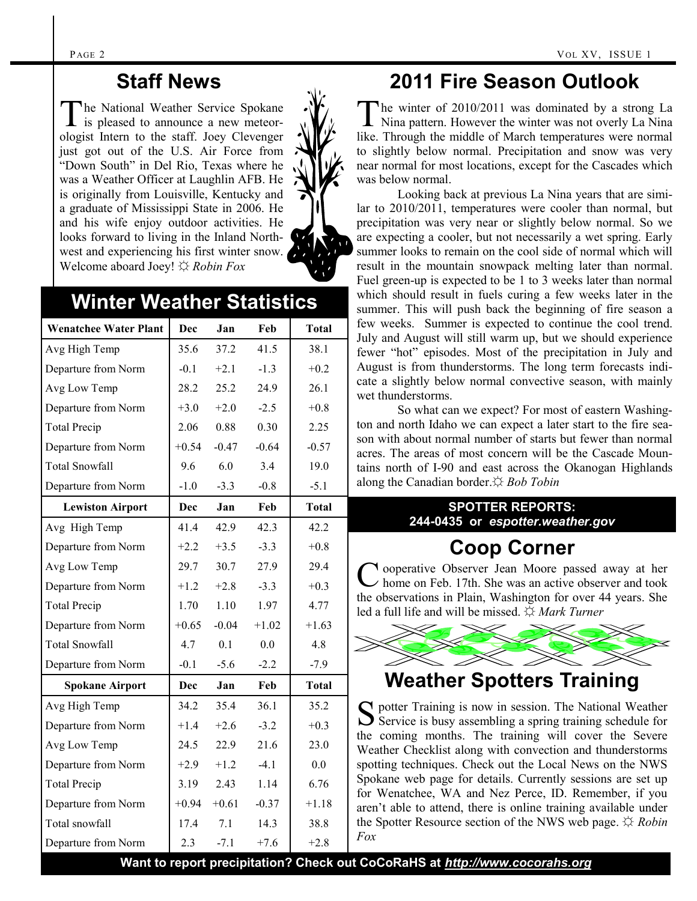#### **Staff News**

The National Weather Service Spokane<br>is pleased to announce a new meteorhe National Weather Service Spokane ologist Intern to the staff. Joey Clevenger just got out of the U.S. Air Force from "Down South" in Del Rio, Texas where he was a Weather Officer at Laughlin AFB. He is originally from Louisville, Kentucky and a graduate of Mississippi State in 2006. He and his wife enjoy outdoor activities. He looks forward to living in the Inland Northwest and experiencing his first winter snow. Welcome aboard Joey! ☼ *Robin Fox*



#### **Winter Weather Statistics**

| <b>Wenatchee Water Plant</b> | Dec     | Jan     | Feb     | <b>Total</b> |
|------------------------------|---------|---------|---------|--------------|
| Avg High Temp                | 35.6    | 37.2    | 41.5    | 38.1         |
| Departure from Norm          | $-0.1$  | $+2.1$  | $-1.3$  | $+0.2$       |
| Avg Low Temp                 | 28.2    | 25.2    | 24.9    | 26.1         |
| Departure from Norm          | $+3.0$  | $+2.0$  | $-2.5$  | $+0.8$       |
| <b>Total Precip</b>          | 2.06    | 0.88    | 0.30    | 2.25         |
| Departure from Norm          | $+0.54$ | $-0.47$ | $-0.64$ | $-0.57$      |
| <b>Total Snowfall</b>        | 9.6     | 6.0     | 3.4     | 19.0         |
| Departure from Norm          | $-1.0$  | $-3.3$  | $-0.8$  | $-5.1$       |
| <b>Lewiston Airport</b>      | Dec     | Jan     | Feb     | <b>Total</b> |
| Avg High Temp                | 41.4    | 42.9    | 42.3    | 42.2         |
| Departure from Norm          | $+2.2$  | $+3.5$  | $-3.3$  | $+0.8$       |
| Avg Low Temp                 | 29.7    | 30.7    | 27.9    | 29.4         |
| Departure from Norm          | $+1.2$  | $+2.8$  | $-3.3$  | $+0.3$       |
| <b>Total Precip</b>          | 1.70    | 1.10    | 1.97    | 4.77         |
| Departure from Norm          | $+0.65$ | $-0.04$ | $+1.02$ | $+1.63$      |
| <b>Total Snowfall</b>        | 4.7     | 0.1     | 0.0     | 4.8          |
| Departure from Norm          | $-0.1$  | $-5.6$  | $-2.2$  | $-7.9$       |
| <b>Spokane Airport</b>       | Dec     | Jan     | Feb     | <b>Total</b> |
| Avg High Temp                | 34.2    | 35.4    | 36.1    | 35.2         |
| Departure from Norm          | $+1.4$  | $+2.6$  | $-3.2$  | $+0.3$       |
| Avg Low Temp                 | 24.5    | 22.9    | 21.6    | 23.0         |
| Departure from Norm          | $+2.9$  | $+1.2$  | $-4.1$  | 0.0          |
| <b>Total Precip</b>          | 3.19    | 2.43    | 1.14    | 6.76         |
| Departure from Norm          | $+0.94$ | $+0.61$ | $-0.37$ | $+1.18$      |
| Total snowfall               | 17.4    | 7.1     | 14.3    | 38.8         |
| Departure from Norm          | 2.3     | $-7.1$  | $+7.6$  | $+2.8$       |

### **2011 Fire Season Outlook**

The winter of 2010/2011 was dominated by a strong La<br>Nina pattern. However the winter was not overly La Nina The winter of 2010/2011 was dominated by a strong La like. Through the middle of March temperatures were normal to slightly below normal. Precipitation and snow was very near normal for most locations, except for the Cascades which was below normal.

Looking back at previous La Nina years that are similar to 2010/2011, temperatures were cooler than normal, but precipitation was very near or slightly below normal. So we are expecting a cooler, but not necessarily a wet spring. Early summer looks to remain on the cool side of normal which will result in the mountain snowpack melting later than normal. Fuel green-up is expected to be 1 to 3 weeks later than normal which should result in fuels curing a few weeks later in the summer. This will push back the beginning of fire season a few weeks. Summer is expected to continue the cool trend. July and August will still warm up, but we should experience fewer "hot" episodes. Most of the precipitation in July and August is from thunderstorms. The long term forecasts indicate a slightly below normal convective season, with mainly wet thunderstorms.

So what can we expect? For most of eastern Washington and north Idaho we can expect a later start to the fire season with about normal number of starts but fewer than normal acres. The areas of most concern will be the Cascade Mountains north of I-90 and east across the Okanogan Highlands along the Canadian border.☼ *Bob Tobin*

#### **SPOTTER REPORTS: 244-0435 or** *espotter.weather.gov*

### **Coop Corner**

C ooperative Observer Jean Moore passed away at her home on Feb. 17th. She was an active observer and took home on Feb. 17th. She was an active observer and took the observations in Plain, Washington for over 44 years. She led a full life and will be missed. ☼ *Mark Turner*



#### **Weather Spotters Training**

S potter Training is now in session. The National Weather Service is busy assembling a spring training schedule for  $\sum$  Service is busy assembling a spring training schedule for the coming months. The training will cover the Severe Weather Checklist along with convection and thunderstorms spotting techniques. Check out the Local News on the NWS Spokane web page for details. Currently sessions are set up for Wenatchee, WA and Nez Perce, ID. Remember, if you aren't able to attend, there is online training available under the Spotter Resource section of the NWS web page. ☼ *Robin Fox*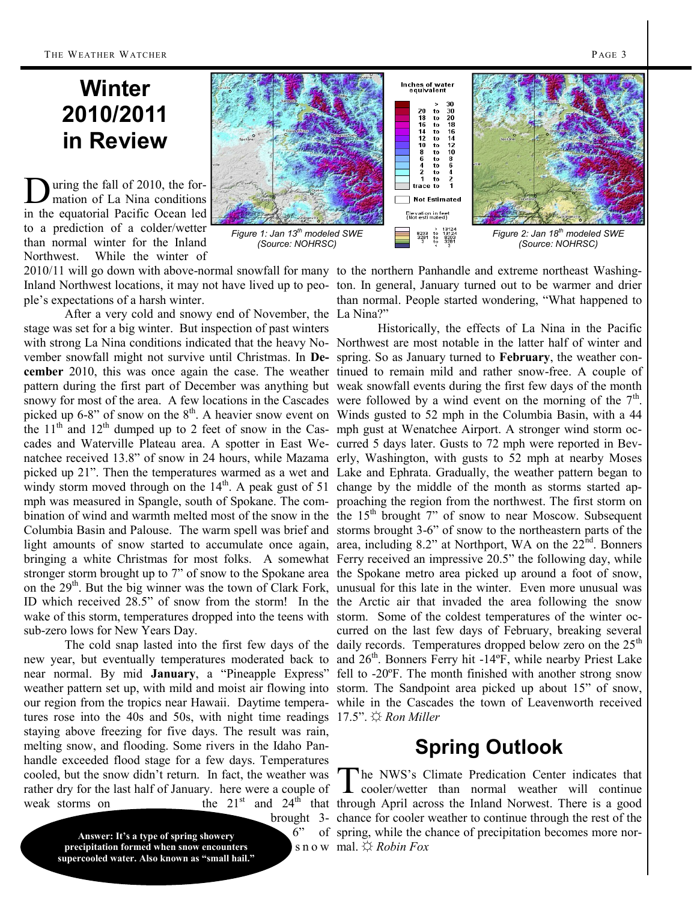### **Winter 2010/2011 in Review**

D uring the fall of 2010, the formation of La Nina conditions in the equatorial Pacific Ocean led to a prediction of a colder/wetter than normal winter for the Inland Northwest. While the winter of

ple's expectations of a harsh winter.

After a very cold and snowy end of November, the La Nina?" stage was set for a big winter. But inspection of past winters sub-zero lows for New Years Day.

tures rose into the 40s and 50s, with night time readings 17.5". ☼ *Ron Miller* staying above freezing for five days. The result was rain, melting snow, and flooding. Some rivers in the Idaho Panhandle exceeded flood stage for a few days. Temperatures cooled, but the snow didn't return. In fact, the weather was rather dry for the last half of January. here were a couple of

**Answer: It's a type of spring showery precipitation formed when snow encounters supercooled water. Also known as "small hail."**



2010/11 will go down with above-normal snowfall for many to the northern Panhandle and extreme northeast Washing-Inland Northwest locations, it may not have lived up to peo-ton. In general, January turned out to be warmer and drier than normal. People started wondering, "What happened to

with strong La Nina conditions indicated that the heavy No-Northwest are most notable in the latter half of winter and vember snowfall might not survive until Christmas. In **De-**spring. So as January turned to **February**, the weather con**cember** 2010, this was once again the case. The weather tinued to remain mild and rather snow-free. A couple of pattern during the first part of December was anything but weak snowfall events during the first few days of the month snowy for most of the area. A few locations in the Cascades were followed by a wind event on the morning of the  $7<sup>th</sup>$ . picked up 6-8" of snow on the  $8<sup>th</sup>$ . A heavier snow event on Winds gusted to 52 mph in the Columbia Basin, with a 44 the  $11<sup>th</sup>$  and  $12<sup>th</sup>$  dumped up to 2 feet of snow in the Cas-mph gust at Wenatchee Airport. A stronger wind storm occades and Waterville Plateau area. A spotter in East We-curred 5 days later. Gusts to 72 mph were reported in Bevnatchee received 13.8" of snow in 24 hours, while Mazama erly, Washington, with gusts to 52 mph at nearby Moses picked up 21". Then the temperatures warmed as a wet and Lake and Ephrata. Gradually, the weather pattern began to windy storm moved through on the  $14<sup>th</sup>$ . A peak gust of 51 change by the middle of the month as storms started apmph was measured in Spangle, south of Spokane. The com-proaching the region from the northwest. The first storm on bination of wind and warmth melted most of the snow in the the  $15<sup>th</sup>$  brought  $7$ " of snow to near Moscow. Subsequent Columbia Basin and Palouse. The warm spell was brief and storms brought 3-6" of snow to the northeastern parts of the light amounts of snow started to accumulate once again, area, including 8.2" at Northport, WA on the  $22<sup>nd</sup>$ . Bonners bringing a white Christmas for most folks. A somewhat Ferry received an impressive 20.5" the following day, while stronger storm brought up to 7" of snow to the Spokane area the Spokane metro area picked up around a foot of snow, on the 29<sup>th</sup>. But the big winner was the town of Clark Fork, unusual for this late in the winter. Even more unusual was ID which received 28.5" of snow from the storm! In the the Arctic air that invaded the area following the snow wake of this storm, temperatures dropped into the teens with storm. Some of the coldest temperatures of the winter oc-The cold snap lasted into the first few days of the daily records. Temperatures dropped below zero on the 25<sup>th</sup> new year, but eventually temperatures moderated back to and 26<sup>th</sup>. Bonners Ferry hit -14<sup>o</sup>F, while nearby Priest Lake near normal. By mid **January**, a "Pineapple Express" fell to -20ºF. The month finished with another strong snow weather pattern set up, with mild and moist air flowing into storm. The Sandpoint area picked up about 15" of snow, our region from the tropics near Hawaii. Daytime tempera-while in the Cascades the town of Leavenworth received Historically, the effects of La Nina in the Pacific curred on the last few days of February, breaking several

#### **Spring Outlook**

weak storms on the  $21^{st}$  and  $24^{th}$  that through April across the Inland Norwest. There is a good brought 3- chance for cooler weather to continue through the rest of the 6" of spring, while the chance of precipitation becomes more nors n o w mal. ☼ *Robin Fox*  The NWS's Climate Predication Center indicates that cooler/wetter than normal weather will continue he NWS's Climate Predication Center indicates that